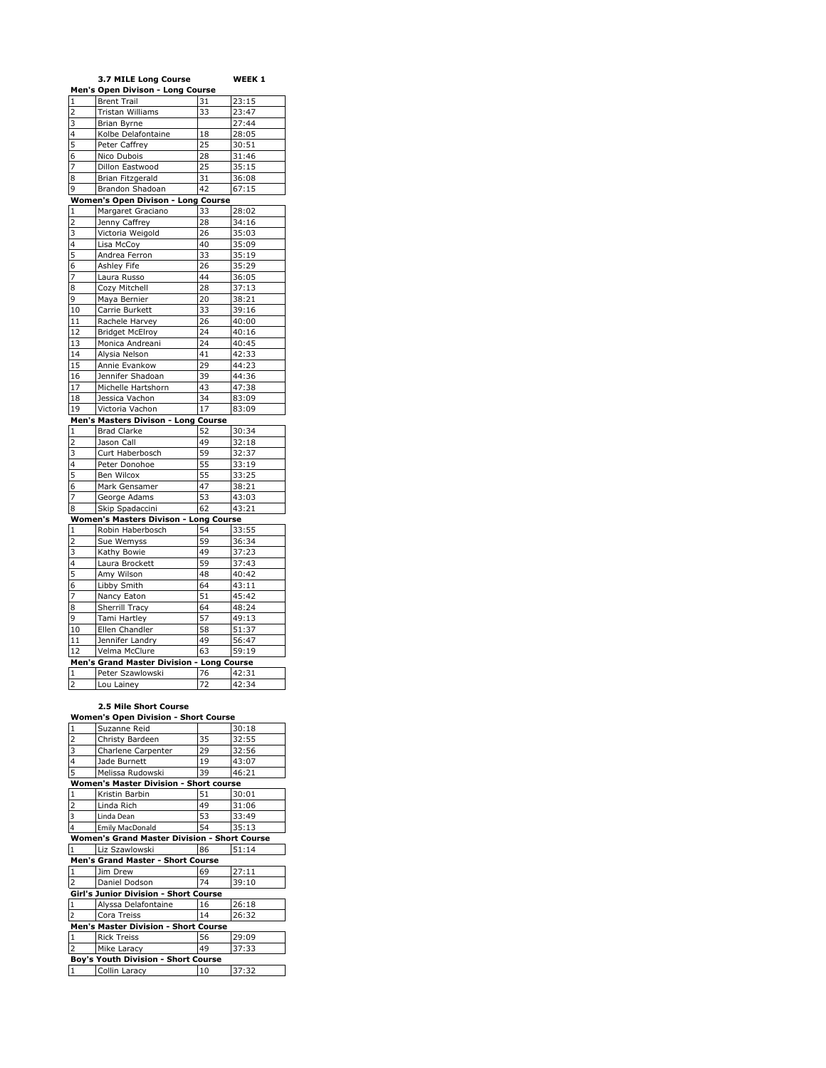|                | 3.7 MILE Long Course                      |    | WEEK 1 |
|----------------|-------------------------------------------|----|--------|
|                | Men's Open Divison - Long Course          |    |        |
| $\mathbf{1}$   | <b>Brent Trail</b>                        | 31 | 23:15  |
| $\overline{2}$ | Tristan Williams                          | 33 | 23:47  |
| 3              | Brian Byrne                               |    | 27:44  |
| 4              | Kolbe Delafontaine                        | 18 | 28:05  |
| 5              | Peter Caffrey                             | 25 | 30:51  |
| 6              | Nico Dubois                               | 28 | 31:46  |
| $\overline{7}$ | Dillon Eastwood                           | 25 | 35:15  |
| 8              | Brian Fitzgerald                          | 31 | 36:08  |
| 9              | Brandon Shadoan                           | 42 | 67:15  |
|                | <b>Women's Open Divison - Long Course</b> |    |        |
| 1              | Margaret Graciano                         | 33 | 28:02  |
| $\overline{c}$ | Jenny Caffrey                             | 28 | 34:16  |
| 3              |                                           | 26 | 35:03  |
|                | Victoria Weigold                          |    |        |
| 4              | Lisa McCoy                                | 40 | 35:09  |
| 5              | Andrea Ferron                             | 33 | 35:19  |
| 6              | Ashley Fife                               | 26 | 35:29  |
| 7              | Laura Russo                               | 44 | 36:05  |
| 8              | Cozy Mitchell                             | 28 | 37:13  |
| 9              | Maya Bernier                              | 20 | 38:21  |
| 10             | Carrie Burkett                            | 33 | 39:16  |
| 11             | Rachele Harvey                            | 26 | 40:00  |
| 12             | <b>Bridget McElroy</b>                    | 24 | 40:16  |
| 13             | Monica Andreani                           | 24 | 40:45  |
| 14             | Alysia Nelson                             | 41 | 42:33  |
| 15             | Annie Evankow                             | 29 | 44:23  |
| 16             | Jennifer Shadoan                          | 39 | 44:36  |
| 17             | Michelle Hartshorn                        | 43 | 47:38  |
| 18             | Jessica Vachon                            | 34 | 83:09  |
| 19             | Victoria Vachon                           | 17 | 83:09  |
|                | Men's Masters Divison - Long Course       |    |        |
| $\mathbf{1}$   | <b>Brad Clarke</b>                        | 52 | 30:34  |
| 2              | Jason Call                                | 49 | 32:18  |
| 3              | Curt Haberbosch                           | 59 | 32:37  |
| 4              | Peter Donohoe                             | 55 | 33:19  |
| 5              | Ben Wilcox                                | 55 | 33:25  |
| 6              | Mark Gensamer                             | 47 | 38:21  |
| 7              | George Adams                              | 53 | 43:03  |
| 8              | Skip Spadaccini                           | 62 | 43:21  |
|                | Women's Masters Divison - Long Course     |    |        |
| 1              | Robin Haberbosch                          | 54 | 33:55  |
| $\overline{2}$ | Sue Wemyss                                | 59 | 36:34  |
| 3              |                                           | 49 | 37:23  |
| 4              | Kathy Bowie                               | 59 |        |
|                | Laura Brockett                            |    | 37:43  |
| 5              | Amy Wilson                                | 48 | 40:42  |
| 6              | Libby Smith                               | 64 | 43:11  |
| 7              | Nancy Eaton                               | 51 | 45:42  |
| 8              | Sherrill Tracy                            | 64 | 48:24  |
| 9              | Tami Hartley                              | 57 | 49:13  |
| 10             | Ellen Chandler                            | 58 | 51:37  |
| 11             | Jennifer Landry                           | 49 | 56:47  |
| 12             | Velma McClure                             | 63 | 59:19  |
|                | Men's Grand Master Division - Long Course |    |        |
| 1              | Peter Szawlowski                          | 76 | 42:31  |
| $\overline{2}$ | Lou Lainey                                | 72 | 42:34  |
|                |                                           |    |        |

## **2.5 Mile Short Course**

| <b>Women's Open Division - Short Course</b>         |                                               |    |       |  |
|-----------------------------------------------------|-----------------------------------------------|----|-------|--|
| $\mathbf{1}$                                        | Suzanne Reid                                  |    | 30:18 |  |
| $\overline{\mathbf{c}}$                             | Christy Bardeen                               | 35 | 32:55 |  |
| 3                                                   | Charlene Carpenter                            | 29 | 32:56 |  |
| $\overline{4}$                                      | Jade Burnett                                  | 19 | 43:07 |  |
| $\overline{5}$                                      | Melissa Rudowski                              | 39 | 46:21 |  |
|                                                     | <b>Women's Master Division - Short course</b> |    |       |  |
| $\mathbf 1$                                         | Kristin Barbin                                | 51 | 30:01 |  |
| $\overline{\mathbf{2}}$                             | Linda Rich                                    | 49 | 31:06 |  |
| 3                                                   | Linda Dean                                    | 53 | 33:49 |  |
| $\overline{4}$                                      | <b>Emily MacDonald</b>                        | 54 | 35:13 |  |
| <b>Women's Grand Master Division - Short Course</b> |                                               |    |       |  |
| $\mathbf{1}$                                        | Liz Szawlowski                                | 86 | 51:14 |  |
| Men's Grand Master - Short Course                   |                                               |    |       |  |
| $\mathbf 1$                                         | Jim Drew                                      | 69 | 27:11 |  |
| $\overline{2}$                                      | Daniel Dodson                                 | 74 | 39:10 |  |
| Girl's Junior Division - Short Course               |                                               |    |       |  |
| $\mathbf 1$                                         | Alyssa Delafontaine                           | 16 | 26:18 |  |
| $\overline{2}$                                      | Cora Treiss                                   | 14 | 26:32 |  |
| Men's Master Division - Short Course                |                                               |    |       |  |
| $\mathbf{1}$                                        | <b>Rick Treiss</b>                            | 56 | 29:09 |  |
|                                                     |                                               |    |       |  |
| $\overline{2}$                                      | Mike Laracy                                   | 49 | 37:33 |  |
|                                                     | <b>Boy's Youth Division - Short Course</b>    |    |       |  |